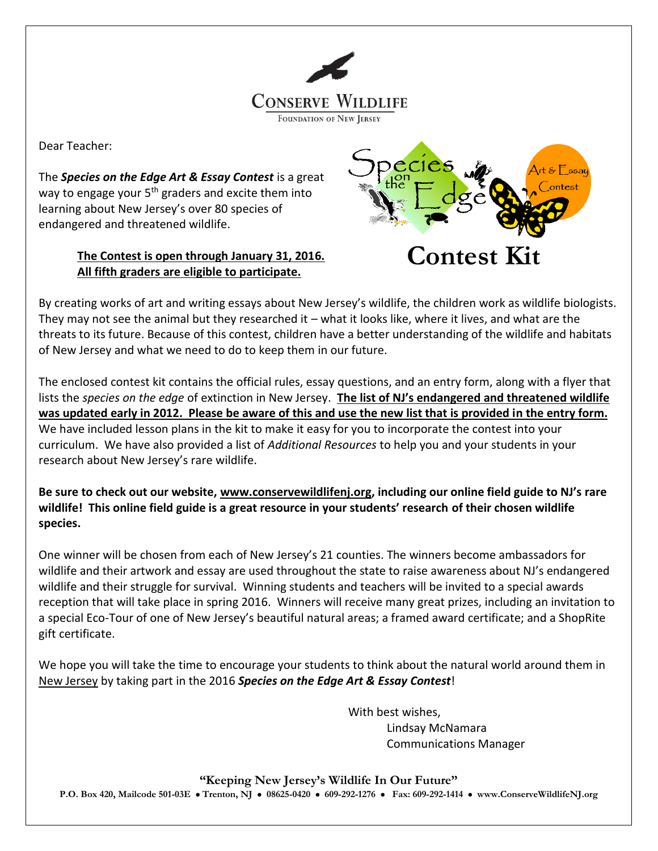

Dear Teacher:

The *Species on the Edge Art & Essay Contest* is a great way to engage your 5<sup>th</sup> graders and excite them into learning about New Jersey's over 80 species of endangered and threatened wildlife.

### **The Contest is open through January 31, 2016. All fifth graders are eligible to participate.**



By creating works of art and writing essays about New Jersey's wildlife, the children work as wildlife biologists. They may not see the animal but they researched it – what it looks like, where it lives, and what are the threats to its future. Because of this contest, children have a better understanding of the wildlife and habitats of New Jersey and what we need to do to keep them in our future.

The enclosed contest kit contains the official rules, essay questions, and an entry form, along with a flyer that lists the *species on the edge* of extinction in New Jersey. **The list of NJ's endangered and threatened wildlife was updated early in 2012. Please be aware of this and use the new list that is provided in the entry form.** We have included lesson plans in the kit to make it easy for you to incorporate the contest into your curriculum. We have also provided a list of *Additional Resources* to help you and your students in your research about New Jersey's rare wildlife.

**Be sure to check out our website, [www.conservewildlifenj.org](http://www.conservewildlifenj.org/), including our online field guide to NJ's rare wildlife! This online field guide is a great resource in your students' research of their chosen wildlife species.**

One winner will be chosen from each of New Jersey's 21 counties. The winners become ambassadors for wildlife and their artwork and essay are used throughout the state to raise awareness about NJ's endangered wildlife and their struggle for survival. Winning students and teachers will be invited to a special awards reception that will take place in spring 2016. Winners will receive many great prizes, including an invitation to a special Eco-Tour of one of New Jersey's beautiful natural areas; a framed award certificate; and a ShopRite gift certificate.

We hope you will take the time to encourage your students to think about the natural world around them in New Jersey by taking part in the 2016 *Species on the Edge Art & Essay Contest*!

> With best wishes, Lindsay McNamara Communications Manager

**"Keeping New Jersey's Wildlife In Our Future" P.O. Box 420, Mailcode 501-03E Trenton, NJ 08625-0420 609-292-1276 Fax: 609-292-1414 www.ConserveWildlifeNJ.org**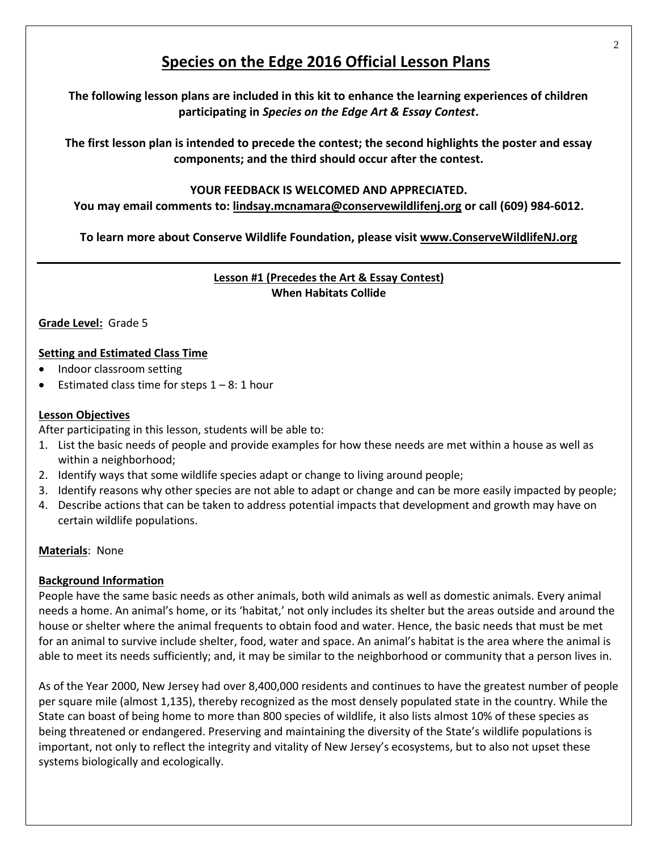# **Species on the Edge 2016 Official Lesson Plans**

**The following lesson plans are included in this kit to enhance the learning experiences of children participating in** *Species on the Edge Art & Essay Contest***.** 

**The first lesson plan is intended to precede the contest; the second highlights the poster and essay components; and the third should occur after the contest.** 

### **YOUR FEEDBACK IS WELCOMED AND APPRECIATED.**

**You may email comments to: lindsay.mcnamara@conservewildlifenj.org or call (609) 984-6012.** 

**To learn more about Conserve Wildlife Foundation, please visit [www.ConserveWildlifeNJ.org](http://www.conservewildlifenj.org/)**

### **Lesson #1 (Precedes the Art & Essay Contest) When Habitats Collide**

### **Grade Level:** Grade 5

#### **Setting and Estimated Class Time**

- Indoor classroom setting
- Estimated class time for steps  $1 8$ : 1 hour

#### **Lesson Objectives**

After participating in this lesson, students will be able to:

- 1. List the basic needs of people and provide examples for how these needs are met within a house as well as within a neighborhood;
- 2. Identify ways that some wildlife species adapt or change to living around people;
- 3. Identify reasons why other species are not able to adapt or change and can be more easily impacted by people;
- 4. Describe actions that can be taken to address potential impacts that development and growth may have on certain wildlife populations.

### **Materials**: None

#### **Background Information**

People have the same basic needs as other animals, both wild animals as well as domestic animals. Every animal needs a home. An animal's home, or its 'habitat,' not only includes its shelter but the areas outside and around the house or shelter where the animal frequents to obtain food and water. Hence, the basic needs that must be met for an animal to survive include shelter, food, water and space. An animal's habitat is the area where the animal is able to meet its needs sufficiently; and, it may be similar to the neighborhood or community that a person lives in.

As of the Year 2000, New Jersey had over 8,400,000 residents and continues to have the greatest number of people per square mile (almost 1,135), thereby recognized as the most densely populated state in the country. While the State can boast of being home to more than 800 species of wildlife, it also lists almost 10% of these species as being threatened or endangered. Preserving and maintaining the diversity of the State's wildlife populations is important, not only to reflect the integrity and vitality of New Jersey's ecosystems, but to also not upset these systems biologically and ecologically.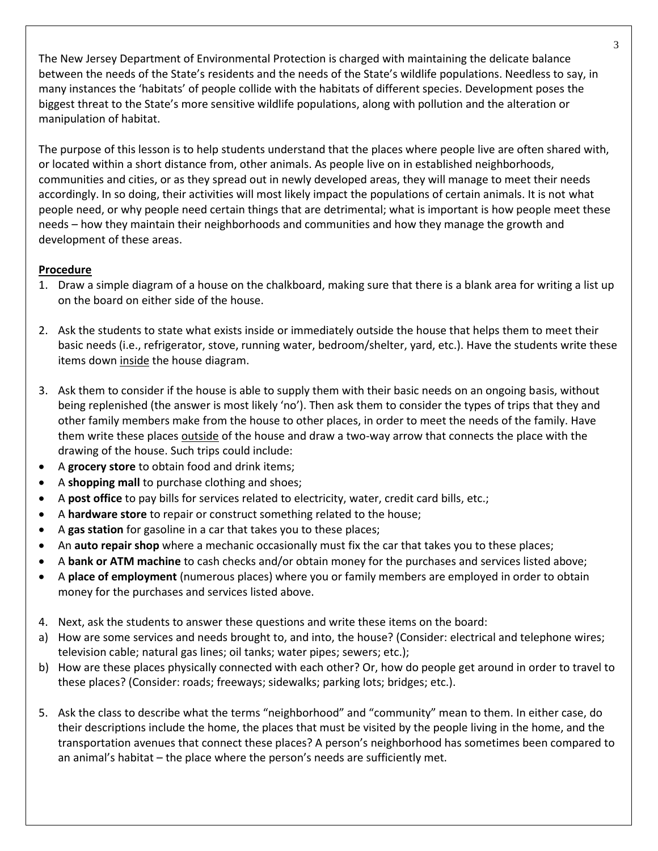The New Jersey Department of Environmental Protection is charged with maintaining the delicate balance between the needs of the State's residents and the needs of the State's wildlife populations. Needless to say, in many instances the 'habitats' of people collide with the habitats of different species. Development poses the biggest threat to the State's more sensitive wildlife populations, along with pollution and the alteration or manipulation of habitat.

The purpose of this lesson is to help students understand that the places where people live are often shared with, or located within a short distance from, other animals. As people live on in established neighborhoods, communities and cities, or as they spread out in newly developed areas, they will manage to meet their needs accordingly. In so doing, their activities will most likely impact the populations of certain animals. It is not what people need, or why people need certain things that are detrimental; what is important is how people meet these needs – how they maintain their neighborhoods and communities and how they manage the growth and development of these areas.

### **Procedure**

- 1. Draw a simple diagram of a house on the chalkboard, making sure that there is a blank area for writing a list up on the board on either side of the house.
- 2. Ask the students to state what exists inside or immediately outside the house that helps them to meet their basic needs (i.e., refrigerator, stove, running water, bedroom/shelter, yard, etc.). Have the students write these items down inside the house diagram.
- 3. Ask them to consider if the house is able to supply them with their basic needs on an ongoing basis, without being replenished (the answer is most likely 'no'). Then ask them to consider the types of trips that they and other family members make from the house to other places, in order to meet the needs of the family. Have them write these places outside of the house and draw a two-way arrow that connects the place with the drawing of the house. Such trips could include:
- A **grocery store** to obtain food and drink items;
- A **shopping mall** to purchase clothing and shoes;
- A **post office** to pay bills for services related to electricity, water, credit card bills, etc.;
- A **hardware store** to repair or construct something related to the house;
- A **gas station** for gasoline in a car that takes you to these places;
- An **auto repair shop** where a mechanic occasionally must fix the car that takes you to these places;
- A **bank or ATM machine** to cash checks and/or obtain money for the purchases and services listed above;
- A **place of employment** (numerous places) where you or family members are employed in order to obtain money for the purchases and services listed above.
- 4. Next, ask the students to answer these questions and write these items on the board:
- a) How are some services and needs brought to, and into, the house? (Consider: electrical and telephone wires; television cable; natural gas lines; oil tanks; water pipes; sewers; etc.);
- b) How are these places physically connected with each other? Or, how do people get around in order to travel to these places? (Consider: roads; freeways; sidewalks; parking lots; bridges; etc.).
- 5. Ask the class to describe what the terms "neighborhood" and "community" mean to them. In either case, do their descriptions include the home, the places that must be visited by the people living in the home, and the transportation avenues that connect these places? A person's neighborhood has sometimes been compared to an animal's habitat – the place where the person's needs are sufficiently met.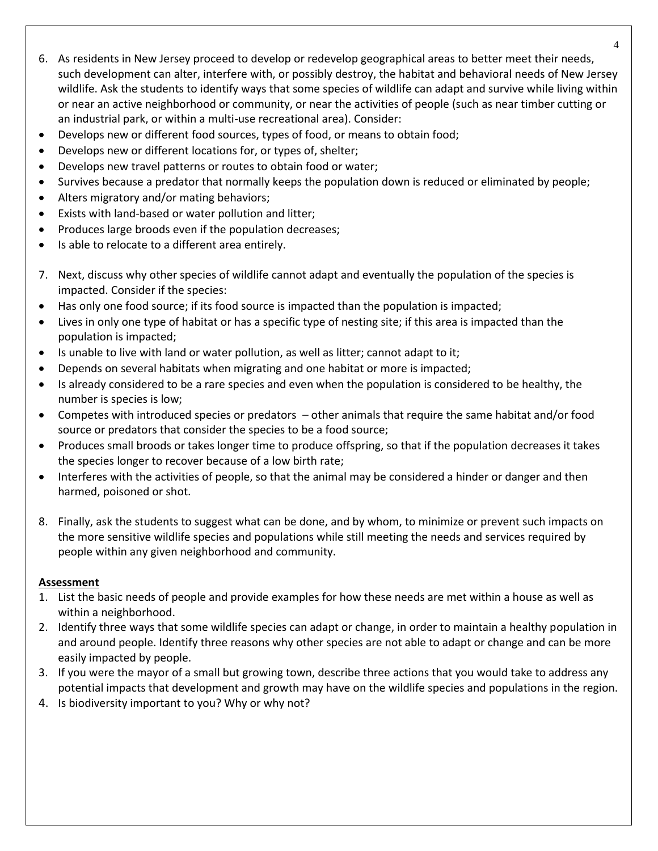- 6. As residents in New Jersey proceed to develop or redevelop geographical areas to better meet their needs, such development can alter, interfere with, or possibly destroy, the habitat and behavioral needs of New Jersey wildlife. Ask the students to identify ways that some species of wildlife can adapt and survive while living within or near an active neighborhood or community, or near the activities of people (such as near timber cutting or an industrial park, or within a multi-use recreational area). Consider:
- Develops new or different food sources, types of food, or means to obtain food;
- Develops new or different locations for, or types of, shelter;
- Develops new travel patterns or routes to obtain food or water;
- Survives because a predator that normally keeps the population down is reduced or eliminated by people;
- Alters migratory and/or mating behaviors;
- Exists with land-based or water pollution and litter;
- Produces large broods even if the population decreases;
- Is able to relocate to a different area entirely.
- 7. Next, discuss why other species of wildlife cannot adapt and eventually the population of the species is impacted. Consider if the species:
- Has only one food source; if its food source is impacted than the population is impacted;
- Lives in only one type of habitat or has a specific type of nesting site; if this area is impacted than the population is impacted;
- Is unable to live with land or water pollution, as well as litter; cannot adapt to it;
- Depends on several habitats when migrating and one habitat or more is impacted;
- Is already considered to be a rare species and even when the population is considered to be healthy, the number is species is low;
- Competes with introduced species or predators other animals that require the same habitat and/or food source or predators that consider the species to be a food source;
- Produces small broods or takes longer time to produce offspring, so that if the population decreases it takes the species longer to recover because of a low birth rate;
- Interferes with the activities of people, so that the animal may be considered a hinder or danger and then harmed, poisoned or shot.
- 8. Finally, ask the students to suggest what can be done, and by whom, to minimize or prevent such impacts on the more sensitive wildlife species and populations while still meeting the needs and services required by people within any given neighborhood and community.

### **Assessment**

- 1. List the basic needs of people and provide examples for how these needs are met within a house as well as within a neighborhood.
- 2. Identify three ways that some wildlife species can adapt or change, in order to maintain a healthy population in and around people. Identify three reasons why other species are not able to adapt or change and can be more easily impacted by people.
- 3. If you were the mayor of a small but growing town, describe three actions that you would take to address any potential impacts that development and growth may have on the wildlife species and populations in the region.
- 4. Is biodiversity important to you? Why or why not?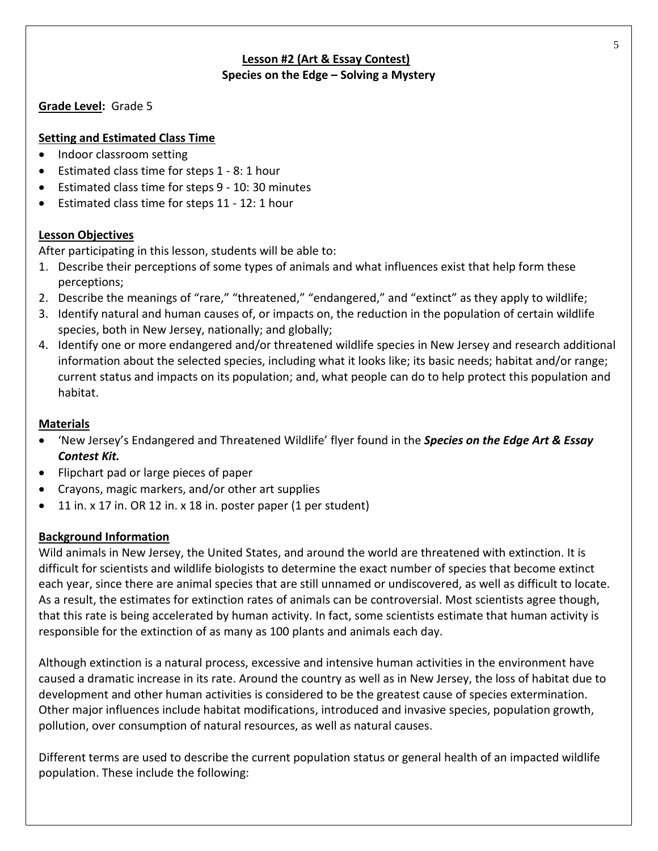### **Lesson #2 (Art & Essay Contest) Species on the Edge – Solving a Mystery**

**Grade Level:** Grade 5

### **Setting and Estimated Class Time**

- Indoor classroom setting
- Estimated class time for steps 1 8: 1 hour
- Estimated class time for steps 9 10: 30 minutes
- Estimated class time for steps 11 12: 1 hour

### **Lesson Objectives**

After participating in this lesson, students will be able to:

- 1. Describe their perceptions of some types of animals and what influences exist that help form these perceptions;
- 2. Describe the meanings of "rare," "threatened," "endangered," and "extinct" as they apply to wildlife;
- 3. Identify natural and human causes of, or impacts on, the reduction in the population of certain wildlife species, both in New Jersey, nationally; and globally;
- 4. Identify one or more endangered and/or threatened wildlife species in New Jersey and research additional information about the selected species, including what it looks like; its basic needs; habitat and/or range; current status and impacts on its population; and, what people can do to help protect this population and habitat.

### **Materials**

- 'New Jersey's Endangered and Threatened Wildlife' flyer found in the *Species on the Edge Art & Essay Contest Kit.*
- Flipchart pad or large pieces of paper
- Crayons, magic markers, and/or other art supplies
- $\bullet$  11 in. x 17 in. OR 12 in. x 18 in. poster paper (1 per student)

### **Background Information**

Wild animals in New Jersey, the United States, and around the world are threatened with extinction. It is difficult for scientists and wildlife biologists to determine the exact number of species that become extinct each year, since there are animal species that are still unnamed or undiscovered, as well as difficult to locate. As a result, the estimates for extinction rates of animals can be controversial. Most scientists agree though, that this rate is being accelerated by human activity. In fact, some scientists estimate that human activity is responsible for the extinction of as many as 100 plants and animals each day.

Although extinction is a natural process, excessive and intensive human activities in the environment have caused a dramatic increase in its rate. Around the country as well as in New Jersey, the loss of habitat due to development and other human activities is considered to be the greatest cause of species extermination. Other major influences include habitat modifications, introduced and invasive species, population growth, pollution, over consumption of natural resources, as well as natural causes.

Different terms are used to describe the current population status or general health of an impacted wildlife population. These include the following: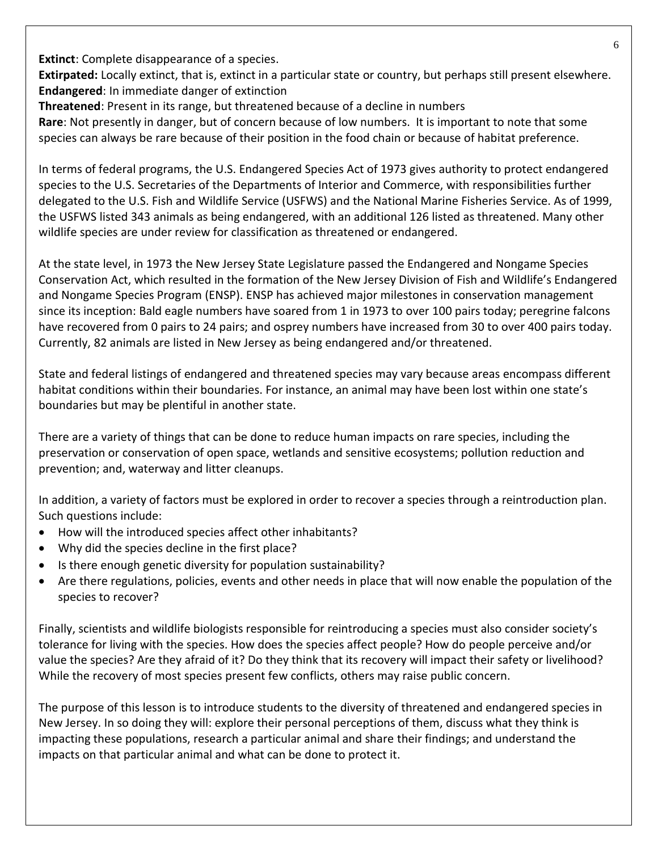**Extinct**: Complete disappearance of a species.

**Extirpated:** Locally extinct, that is, extinct in a particular state or country, but perhaps still present elsewhere. **Endangered**: In immediate danger of extinction

**Threatened**: Present in its range, but threatened because of a decline in numbers

**Rare**: Not presently in danger, but of concern because of low numbers. It is important to note that some species can always be rare because of their position in the food chain or because of habitat preference.

In terms of federal programs, the U.S. Endangered Species Act of 1973 gives authority to protect endangered species to the U.S. Secretaries of the Departments of Interior and Commerce, with responsibilities further delegated to the U.S. Fish and Wildlife Service (USFWS) and the National Marine Fisheries Service. As of 1999, the USFWS listed 343 animals as being endangered, with an additional 126 listed as threatened. Many other wildlife species are under review for classification as threatened or endangered.

At the state level, in 1973 the New Jersey State Legislature passed the Endangered and Nongame Species Conservation Act, which resulted in the formation of the New Jersey Division of Fish and Wildlife's Endangered and Nongame Species Program (ENSP). ENSP has achieved major milestones in conservation management since its inception: Bald eagle numbers have soared from 1 in 1973 to over 100 pairs today; peregrine falcons have recovered from 0 pairs to 24 pairs; and osprey numbers have increased from 30 to over 400 pairs today. Currently, 82 animals are listed in New Jersey as being endangered and/or threatened.

State and federal listings of endangered and threatened species may vary because areas encompass different habitat conditions within their boundaries. For instance, an animal may have been lost within one state's boundaries but may be plentiful in another state.

There are a variety of things that can be done to reduce human impacts on rare species, including the preservation or conservation of open space, wetlands and sensitive ecosystems; pollution reduction and prevention; and, waterway and litter cleanups.

In addition, a variety of factors must be explored in order to recover a species through a reintroduction plan. Such questions include:

- How will the introduced species affect other inhabitants?
- Why did the species decline in the first place?
- Is there enough genetic diversity for population sustainability?
- Are there regulations, policies, events and other needs in place that will now enable the population of the species to recover?

Finally, scientists and wildlife biologists responsible for reintroducing a species must also consider society's tolerance for living with the species. How does the species affect people? How do people perceive and/or value the species? Are they afraid of it? Do they think that its recovery will impact their safety or livelihood? While the recovery of most species present few conflicts, others may raise public concern.

The purpose of this lesson is to introduce students to the diversity of threatened and endangered species in New Jersey. In so doing they will: explore their personal perceptions of them, discuss what they think is impacting these populations, research a particular animal and share their findings; and understand the impacts on that particular animal and what can be done to protect it.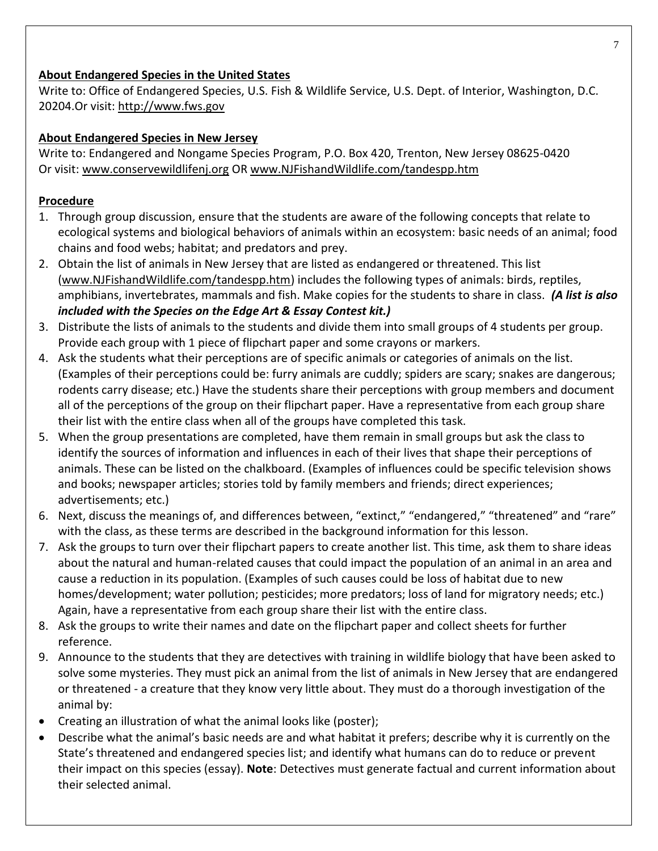### **About Endangered Species in the United States**

Write to: Office of Endangered Species, U.S. Fish & Wildlife Service, U.S. Dept. of Interior, Washington, D.C. 20204.Or visit: [http://www.fws.gov](http://www.fws.gov/)

## **About Endangered Species in New Jersey**

Write to: Endangered and Nongame Species Program, P.O. Box 420, Trenton, New Jersey 08625-0420 Or visit: [www.conservewildlifenj.org](http://www.conservewildlifenj.org/) OR www.NJFishandWildlife.com/tandespp.htm

## **Procedure**

- 1. Through group discussion, ensure that the students are aware of the following concepts that relate to ecological systems and biological behaviors of animals within an ecosystem: basic needs of an animal; food chains and food webs; habitat; and predators and prey.
- 2. Obtain the list of animals in New Jersey that are listed as endangered or threatened. This list [\(www.NJFishandWildlife.com/tandespp.htm\)](http://www.njfishandwildlife.com/tandespp.htm) includes the following types of animals: birds, reptiles, amphibians, invertebrates, mammals and fish. Make copies for the students to share in class. *(A list is also included with the Species on the Edge Art & Essay Contest kit.)*
- 3. Distribute the lists of animals to the students and divide them into small groups of 4 students per group. Provide each group with 1 piece of flipchart paper and some crayons or markers.
- 4. Ask the students what their perceptions are of specific animals or categories of animals on the list. (Examples of their perceptions could be: furry animals are cuddly; spiders are scary; snakes are dangerous; rodents carry disease; etc.) Have the students share their perceptions with group members and document all of the perceptions of the group on their flipchart paper. Have a representative from each group share their list with the entire class when all of the groups have completed this task.
- 5. When the group presentations are completed, have them remain in small groups but ask the class to identify the sources of information and influences in each of their lives that shape their perceptions of animals. These can be listed on the chalkboard. (Examples of influences could be specific television shows and books; newspaper articles; stories told by family members and friends; direct experiences; advertisements; etc.)
- 6. Next, discuss the meanings of, and differences between, "extinct," "endangered," "threatened" and "rare" with the class, as these terms are described in the background information for this lesson.
- 7. Ask the groups to turn over their flipchart papers to create another list. This time, ask them to share ideas about the natural and human-related causes that could impact the population of an animal in an area and cause a reduction in its population. (Examples of such causes could be loss of habitat due to new homes/development; water pollution; pesticides; more predators; loss of land for migratory needs; etc.) Again, have a representative from each group share their list with the entire class.
- 8. Ask the groups to write their names and date on the flipchart paper and collect sheets for further reference.
- 9. Announce to the students that they are detectives with training in wildlife biology that have been asked to solve some mysteries. They must pick an animal from the list of animals in New Jersey that are endangered or threatened - a creature that they know very little about. They must do a thorough investigation of the animal by:
- Creating an illustration of what the animal looks like (poster);
- Describe what the animal's basic needs are and what habitat it prefers; describe why it is currently on the State's threatened and endangered species list; and identify what humans can do to reduce or prevent their impact on this species (essay). **Note**: Detectives must generate factual and current information about their selected animal.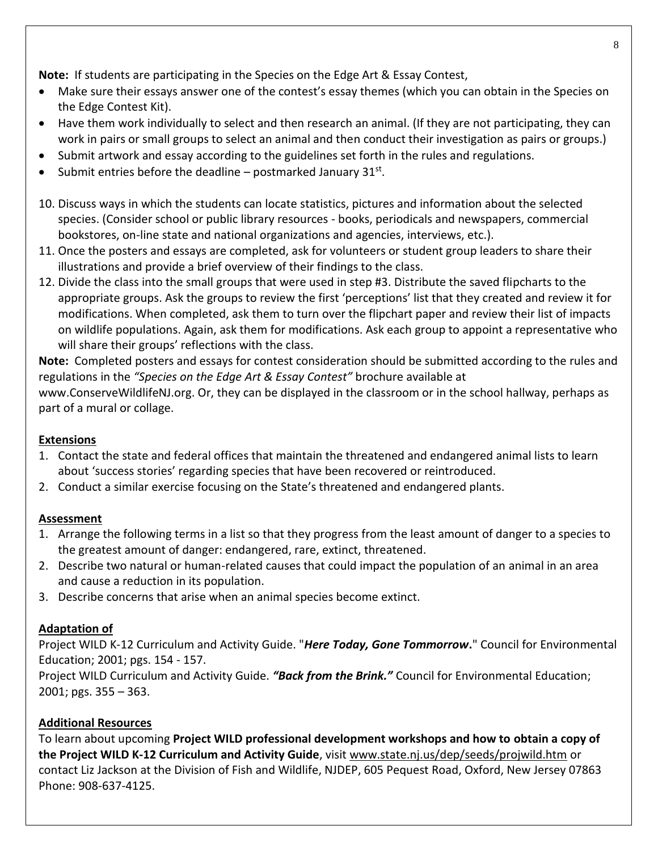**Note:** If students are participating in the Species on the Edge Art & Essay Contest,

- Make sure their essays answer one of the contest's essay themes (which you can obtain in the Species on the Edge Contest Kit).
- Have them work individually to select and then research an animal. (If they are not participating, they can work in pairs or small groups to select an animal and then conduct their investigation as pairs or groups.)
- Submit artwork and essay according to the guidelines set forth in the rules and regulations.
- Submit entries before the deadline  $-$  postmarked January 31st.
- 10. Discuss ways in which the students can locate statistics, pictures and information about the selected species. (Consider school or public library resources - books, periodicals and newspapers, commercial bookstores, on-line state and national organizations and agencies, interviews, etc.).
- 11. Once the posters and essays are completed, ask for volunteers or student group leaders to share their illustrations and provide a brief overview of their findings to the class.
- 12. Divide the class into the small groups that were used in step #3. Distribute the saved flipcharts to the appropriate groups. Ask the groups to review the first 'perceptions' list that they created and review it for modifications. When completed, ask them to turn over the flipchart paper and review their list of impacts on wildlife populations. Again, ask them for modifications. Ask each group to appoint a representative who will share their groups' reflections with the class.

**Note:** Completed posters and essays for contest consideration should be submitted according to the rules and regulations in the *"Species on the Edge Art & Essay Contest"* brochure available at www.ConserveWildlifeNJ.org. Or, they can be displayed in the classroom or in the school hallway, perhaps as part of a mural or collage.

## **Extensions**

- 1. Contact the state and federal offices that maintain the threatened and endangered animal lists to learn about 'success stories' regarding species that have been recovered or reintroduced.
- 2. Conduct a similar exercise focusing on the State's threatened and endangered plants.

## **Assessment**

- 1. Arrange the following terms in a list so that they progress from the least amount of danger to a species to the greatest amount of danger: endangered, rare, extinct, threatened.
- 2. Describe two natural or human-related causes that could impact the population of an animal in an area and cause a reduction in its population.
- 3. Describe concerns that arise when an animal species become extinct.

## **Adaptation of**

Project WILD K-12 Curriculum and Activity Guide. "*Here Today, Gone Tommorrow***.**" Council for Environmental Education; 2001; pgs. 154 - 157.

Project WILD Curriculum and Activity Guide. *"Back from the Brink."* Council for Environmental Education; 2001; pgs. 355 – 363.

## **Additional Resources**

To learn about upcoming **Project WILD professional development workshops and how to obtain a copy of the Project WILD K-12 Curriculum and Activity Guide**, visit www.state.nj.us/dep/seeds/projwild.htm or contact Liz Jackson at the Division of Fish and Wildlife, NJDEP, 605 Pequest Road, Oxford, New Jersey 07863 Phone: 908-637-4125.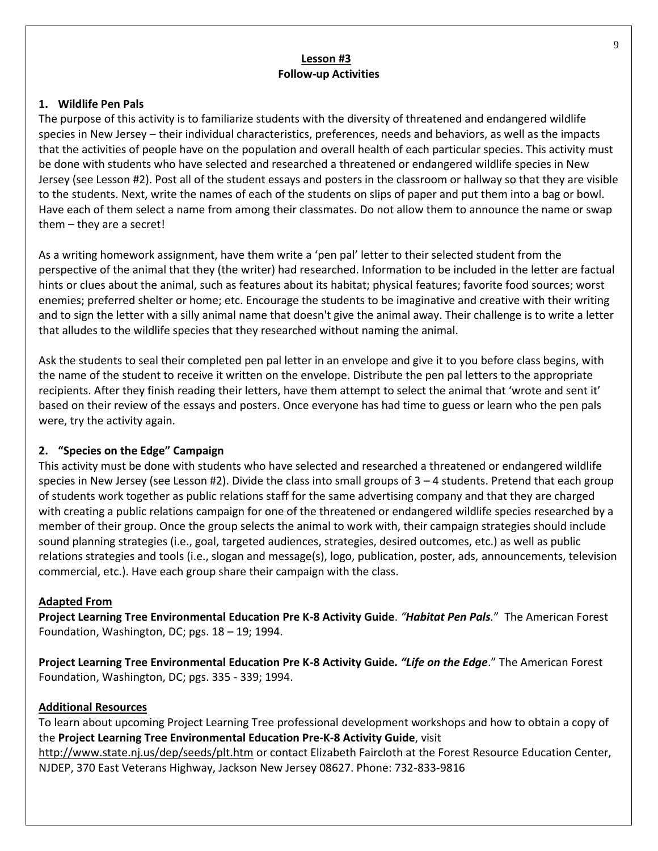### **Lesson #3 Follow-up Activities**

### **1. Wildlife Pen Pals**

The purpose of this activity is to familiarize students with the diversity of threatened and endangered wildlife species in New Jersey – their individual characteristics, preferences, needs and behaviors, as well as the impacts that the activities of people have on the population and overall health of each particular species. This activity must be done with students who have selected and researched a threatened or endangered wildlife species in New Jersey (see Lesson #2). Post all of the student essays and posters in the classroom or hallway so that they are visible to the students. Next, write the names of each of the students on slips of paper and put them into a bag or bowl. Have each of them select a name from among their classmates. Do not allow them to announce the name or swap them – they are a secret!

As a writing homework assignment, have them write a 'pen pal' letter to their selected student from the perspective of the animal that they (the writer) had researched. Information to be included in the letter are factual hints or clues about the animal, such as features about its habitat; physical features; favorite food sources; worst enemies; preferred shelter or home; etc. Encourage the students to be imaginative and creative with their writing and to sign the letter with a silly animal name that doesn't give the animal away. Their challenge is to write a letter that alludes to the wildlife species that they researched without naming the animal.

Ask the students to seal their completed pen pal letter in an envelope and give it to you before class begins, with the name of the student to receive it written on the envelope. Distribute the pen pal letters to the appropriate recipients. After they finish reading their letters, have them attempt to select the animal that 'wrote and sent it' based on their review of the essays and posters. Once everyone has had time to guess or learn who the pen pals were, try the activity again.

### **2. "Species on the Edge" Campaign**

This activity must be done with students who have selected and researched a threatened or endangered wildlife species in New Jersey (see Lesson #2). Divide the class into small groups of 3 – 4 students. Pretend that each group of students work together as public relations staff for the same advertising company and that they are charged with creating a public relations campaign for one of the threatened or endangered wildlife species researched by a member of their group. Once the group selects the animal to work with, their campaign strategies should include sound planning strategies (i.e., goal, targeted audiences, strategies, desired outcomes, etc.) as well as public relations strategies and tools (i.e., slogan and message(s), logo, publication, poster, ads, announcements, television commercial, etc.). Have each group share their campaign with the class.

### **Adapted From**

**Project Learning Tree Environmental Education Pre K-8 Activity Guide**. *"Habitat Pen Pals.*" The American Forest Foundation, Washington, DC; pgs. 18 – 19; 1994.

**Project Learning Tree Environmental Education Pre K-8 Activity Guide***. "Life on the Edge*." The American Forest Foundation, Washington, DC; pgs. 335 - 339; 1994.

### **Additional Resources**

To learn about upcoming Project Learning Tree professional development workshops and how to obtain a copy of the **Project Learning Tree Environmental Education Pre-K-8 Activity Guide**, visit <http://www.state.nj.us/dep/seeds/plt.htm> or contact Elizabeth Faircloth at the Forest Resource Education Center,

NJDEP, 370 East Veterans Highway, Jackson New Jersey 08627. Phone: 732-833-9816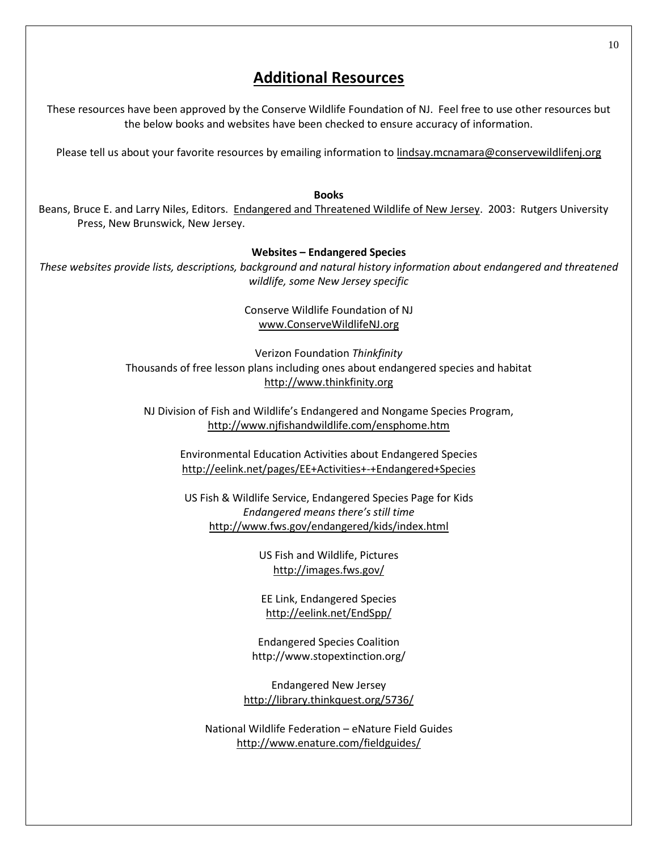## **Additional Resources**

These resources have been approved by the Conserve Wildlife Foundation of NJ. Feel free to use other resources but the below books and websites have been checked to ensure accuracy of information.

Please tell us about your favorite resources by emailing information to lindsay.mcnamara@conservewildlifenj.org

#### **Books**

Beans, Bruce E. and Larry Niles, Editors. Endangered and Threatened Wildlife of New Jersey. 2003: Rutgers University Press, New Brunswick, New Jersey.

#### **Websites – Endangered Species**

*These websites provide lists, descriptions, background and natural history information about endangered and threatened wildlife, some New Jersey specific*

> Conserve Wildlife Foundation of NJ www.ConserveWildlifeNJ.org

Verizon Foundation *Thinkfinity* Thousands of free lesson plans including ones about endangered species and habitat http://www.thinkfinity.org

NJ Division of Fish and Wildlife's Endangered and Nongame Species Program, <http://www.njfishandwildlife.com/ensphome.htm>

Environmental Education Activities about Endangered Species http://eelink.net/pages/EE+Activities+-+Endangered+Species

US Fish & Wildlife Service, Endangered Species Page for Kids *Endangered means there's still time* http://www.fws.gov/endangered/kids/index.html

> US Fish and Wildlife, Pictures http://images.fws.gov/

EE Link, Endangered Species http://eelink.net/EndSpp/

Endangered Species Coalition http://www.stopextinction.org/

Endangered New Jersey http://library.thinkquest.org/5736/

National Wildlife Federation – eNature Field Guides http://www.enature.com/fieldguides/